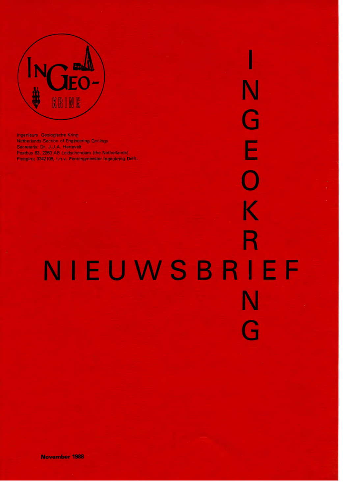

**Ingenieurs Geologische Kring** Netherlands Section of Engineering Geology Secretaris: Dr. J.J.A. Hartevelt Postbus 63, 2260 AB Leidschendam (the Netherlands) Postgiro; 3342108, t.n.v. Penningmeester Ingeokring Delft.

# NIEUWSBRIEF

Ν

G

Ē

 $\blacklozenge$ 

K

R

Ĥ

November 1988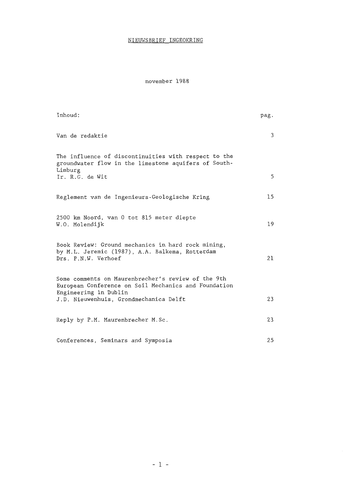### NIEUWSBRIEF INGEOKRING

november 1988

| Inhoud:                                                                                                                                    | pag. |
|--------------------------------------------------------------------------------------------------------------------------------------------|------|
| Van de redaktie                                                                                                                            | 3    |
| The influence of discontinuities with respect to the<br>groundwater flow in the limestone aquifers of South-<br>Limburg<br>Ir. R.G. de Wit | 5    |
| Reglement van de Ingenieurs-Geologische Kring                                                                                              | 15   |
| 2500 km Noord, van 0 tot 815 meter diepte<br>W.O. Molendijk                                                                                | 19   |
| Book Review: Ground mechanics in hard rock mining,<br>by M.L. Jeremic (1987), A.A. Balkema, Rotterdam<br>Drs. P.N.W. Verhoef               | 21   |
| Some comments on Maurenbrecher's review of the 9th<br>European Conference on Soil Mechanics and Foundation<br>Engineering in Dublin        |      |
| J.D. Nieuwenhuis, Grondmechanica Delft                                                                                                     | 23   |
| Reply by P.M. Maurenbrecher M.Sc.                                                                                                          | 23   |
| Conferences, Seminars and Symposia                                                                                                         | 25   |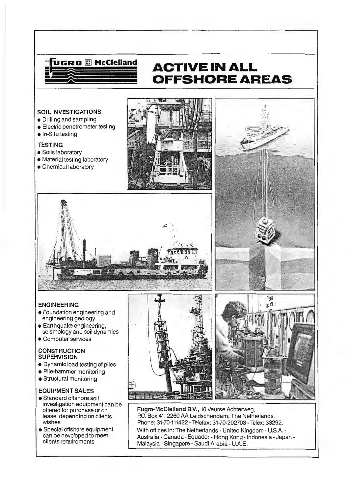

### **ACTIVE IN ALL OFFSHORE AREAS**

 $\frac{4}{3}$  .

### **SOIL INVESTIGATIONS**

- Drilling and sampling
- Electric penetrometer testing
- **•** In-Situ testing

### **TESTING**

- **Soils laboratory**
- Material testing laboratory
- Chemica! laboratory





### **ENGINEERING**

- Foundation engineering and engineering geology
- Earthquake engineering, seismology and soil dynamics
- Computer services

### **CONSTRUCTION SUPERVISION**

- Dynamic load testing of piles
- Pile-hammer monitoring
- Structural monitoring

### **EOUIPMENT SALES**

- Standard offshore soil investigation equipment can be offered for purchase or on lease, depending on clients wishes
- Special offshore equipment can be developed to meet clients requirements



**Fugro-McClelland B.V.,** 10 Veurse Achterweg, P.O. Box 41, 2260 AA Leidschendam, The Netherlands. Phone: 31-70-111422 - Telefax: 31-70-202703 - Telex: 33292. With offices in: The Netherlands - United Kingdom - U.S.A. - Australia - Canada- Equador- Hong Kong - lndonesia -Japan - Malaysia- Singapore - Saudi Arabia - U.A.E.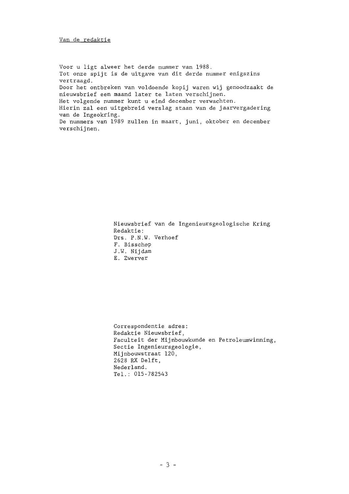Van de redaktie

Voor u ligt alweer het derde nummer van 1988. Tot onze spijt is de uitgave van dit derde nummer enigszins vertraagd. Door het ontbreken van voldoende kopij waren wij genoodzaakt de nieuwsbrief een maand later te laten verschijnen. Het volgende nwnrner kunt u eind december verwachten. Hierin zal een uitgebreid verslag staan van de jaarvergadering van de Ingeokring. De nummers van 1989 zullen in maart, juni, oktober en december verschijnen .

> Nieuwsbrief van de Ingenieursgeologische Kring Redaktie: Drs. P.N.W. Verhoef F. Bisschop J.W. Nijdam E. Zwerver

Correspondentie adres: Redaktie Nieuwsbrief, Faculteit der Mijnbouwkunde en Petroleumwinning, Sectie Ingenieursgeologie, Mijnbouwstraat 120, 2628 RX Delft, Nederland . Tel.: 015-782543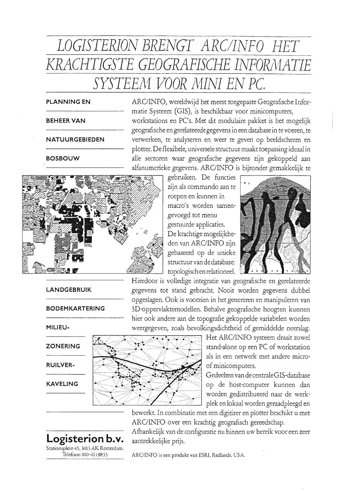## LOGISTERION BRENGT ARC/INFO HET KRACHTIGSTE GEOGRAFISCHE INFORMATIE SYSTEEM VOOR MINI EN PC.

### **PLANNING EN**

### **BEHEER VAN**

### **NATUURGEBIEDEN**

### **BOSBOUW**

**LANDGEBRUIK** 

**BODEMKARTERING** 

MILIEU-

**ZONERING** 

**RUILVER-**

**KAVELING** 



ARC/INFO, wereldwijd het meest toegepaste Geografische Informatie Systeem (GIS), is beschikbaar voor minicomputers, workstations en PC's. Met dit modulaire pakket is het mogelijk geografische en gerelateerde gegevens in een database in te voeren, te verwerken, te analyseren en weer te geven op beeldscherm en plotter. De flexibele, universele structuur maakt toepassing ideaal in alle sectoren waar geografische gegevens zijn gekoppeld aan alfanumerieke gegevens. ARC/INFO is bijzonder gemakkelijk te

> gebruiken. De functies zijn als commando aan te roepen en kunnen in macro's worden samengevoegd tot menu gestuurde applicaties. De krachtige mogelijkheden van ARC/INFO zijn gebaseerd op de unieke structuur van de database: topologisch en relationeel.



Hierdoor is volledige integratie van geografische en gerelateerde gegevens tot stand gebracht. Nooit worden gegevens dubbel opgeslagen. Ook is voorzien in het genereren en manipuleren van 3D-oppervlaktemodellen. Behalve geografische hoogten kunnen hier ook andere aan de topografie gekoppelde variabelen worden weergegeven, zoals bevolkingsdichtheid of gemiddelde neerslag.



Het ARC/INFO systeem draait zowel stand-alone op een PC of workstation als in een netwerk met andere microof minicomputers.

Gedeelten van de centrale GIS-database op de host-computer kunnen dan worden gedistribueerd naar de werkplek en lokaal worden geraadpleegd en

bewerkt. In combinatie met een digitizer en plotter beschikt u met ARC/INFO over een krachtig geografisch gereedschap.

Afhankelijk van de configuratie nu binnen uw bereik voor een zeer aantrekkelijke prijs.

ARC/INFO is een produkt van ESRI, Redlands, USA.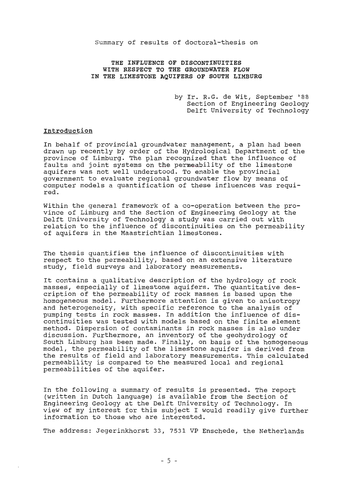Summary of results of doctoral-thesis on

### **THE INFLUENCE OF DISCONTINUITIES WITH RESPECT TO THE GROUNDWATER FLOW IN THE LIMESTONE AQUIFERS OF SOUTH LIMBURG**

by Ir. R.G. de Wit, September '88 Section of Engineering Geology Delft University of Technology

### **Introduction**

In behalf of provincial groundwater management, a plan had been drawn up recently by order of the Hydrological Department of the province of Limburg. The plan recognized that the influence of faults and joint systems on the permeability of the limestone aquifers was not well understood. To enable the provincial government to evaluate regional groundwater flow by means of computer models a quantification of these influences was required.

Within the general framework of a co-operation between the province of Limburg and the Section of Engineering Geology at the Delft University of Technology a study was carried out with relation to the influence of discontinuities on the permeability of aquifers in the Maastrichtian limestones.

The thesis quantifies the influence of discontinuities with respect to the permeability, based on an extensive literature study, field surveys and laboratory measurements.

It contains a qualitative description of the hydrology of rock masses, especially of limestone aquifers. The quantitative description of the permeability of rock masses is based upon the homogeneous model. Furthermore attention is given to anisotropy and heterogeneity, with specific reference to the analysis of pumping tests in rock masses. In addition the influence of discontinuities was tested with models based on the finite element method. Dispersion of contaminants in rock masses is also under discussion. Furthermore, an inventory of the geohydrology of South Limburg has been made. Finally, on basis of the homogeneous model, the permeability of the limestone aquifer is derived from the results of field and laboratory measurements. This calculated permeability is compared to the measured local and regional permeabilities of the aquifer.

In the following a summary of results is presented. The report (written in Dutch language) is available from the Section of Engineering Geology at the Delft University of Technology. In view of my interest for this subject I would readily give further information to those who are interested.

The address: Jegerinkhorst 33, 7531 VP Enschede, the Netherlands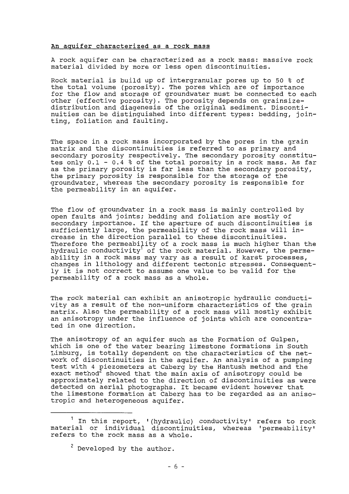#### **An aquifer characterized as a rock mass**

A rock aquifer can be characterized as a rock mass: massive rock material divided by more or less open discontinuities.

Rock material is build up of intergranular pores up to 50 % of the total volume (porosity). The pores which are of importance for the flow and storage of groundwater must be connected to each other (effective porosity). The porosity depends on grainsizedistribution and diagenesis of the original sediment. Discontinuities can be distinguished into different types: bedding, jointing, foliation and faulting.

The space in a rock mass incorporated by the pores in the grain matrix and the discontinuities is referred to as primary and secondary porosity respectively. The secondary porosity constitutes only 0.1 - 0.4 % of the total porosity in a rock mass. As far as the primary porosity is far less than the secondary porosity, the primary porosity is responsible for the storage of the groundwater, whereas the secondary porosity is responsible for the permeability in an aquifer.

The flow of groundwater in a rock mass is mainly controlled by open faults and joints; bedding and foliation are mostly of secondary importance. If the aperture of such discontinuities is sufficiently large, the permeability of the rock mass will increase in the direction parallel to these discontinuities. Therefore the permeability of a rock mass is much higher than the hydraulic conductivity<sup>1</sup> of the rock material. However, the permeability in a rock mass may vary as a result of karst processes, changes in lithology and different tectonic stresses. Consequently it is not correct to assume one value to be valid for the permeability of a rock mass as a whole.

The rock material can exhibit an anisotropic hydraulic conductivity as a result of the non-uniform characteristics of the grain matrix. Also the permeability of a rock mass will mostly exhibit an anisotropy under the influence of joints which are concentrated in one direction.

The anisotropy of an aquifer such as the Formation of Gulpen, which is one of the water bearing limestone formations in South Limburg, is totally dependent on the characteristics of the network of discontinuities in the aquifer. An analysis of a pumping test with 4 piezometers at Caberg by the Hantush method and the exact method<sup>2</sup> showed that the main axis of anisotropy could be approximately related to the direction of discontinuities as were detected on aerial photographs. It became evident however that the limestone formation at Caberg has to be regarded as an anisotropic and heterogeneous aquifer.

 $^1$  In this report, '(hydraulic) conductivity' refers to rock material or individual discontinuities, whereas 'permeability' refers to the rock mass as a whole.

<sup>&</sup>lt;sup>2</sup> Developed by the author.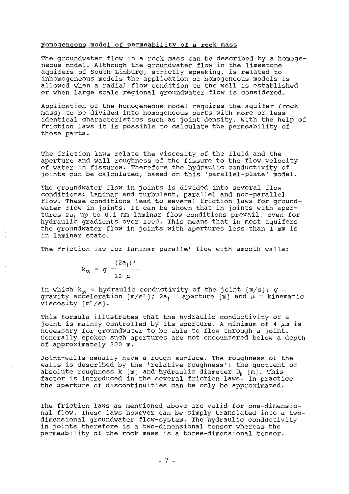#### Homogeneous model of permeability of a rock mass

The groundwater flow in a rock mass can be described by a homogeneous model. Although the groundwater flow in the limestone aquifers of South Limburg, strictly speaking, is related to inhomogeneous models the application of homogeneous models is allowed when a radial flow condition to the well is established or when large scale regional groundwater flow is considered.

Application of the homogeneous model requires the aquifer (rock mass) to be divided into homogeneous parts with more or less identical characteristics such as joint density. With the help of friction laws it is possible to calculate the permeability of these parts.

The friction laws relate the viscosity of the fluid and the aperture and wall roughness of the fissure to the flow velocity of water in fissures. Therefore the hydraulic conductivity of joints can be calculated, based on this 'parallel-plate' model.

The groundwater flow in joints is divided into several flow conditions: laminar and turbulent, parallel and non-parallel flow. These conditions lead to several friction laws for groundwater flow in joints. It can be shown that in joints with apertures 2a; up to 0.1 mm laminar flow conditions prevail, even for hydraulic gradients over 1000. This means that in most aquifers the groundwater flow in joints with apertures less than 1 mm is in laminar state.

The friction law for laminar parallel flow with smooth walls:

$$
k_{\text{SV}} = g \frac{(2a_{i})^{2}}{12 \mu}
$$

in which  $k_{sy}$  = hydraulic conductivity of the joint  $[m/s]$ ; g = gravity acceleration  $[m/s^2]$ ; 2a<sub>i</sub> = aperture [m] and  $\mu$  = kinematic viscosity  $[m^2/s]$ .

This formula illustrates that the hydraulic conductivity of a joint is mainly controlled by its aperture. A minimum of 4  $\mu$ m is necessary for groundwater to be able to flow through a joint. Generally spoken such apertures are not encountered below a depth of approximately 200 m.

Joint-walls usually have a rough surface. The roughness of the walls is described by the 'relative roughness': the quotient of absolute roughness  $k$  [m] and hydraulic diameter  $D_h$  [m]. This  $f$ absoluce loughness  $K$   $\lfloor m \rfloor$  and hydradite didmeter  $D_{\sf h}$   $\lfloor m \rfloor$ . This the aperture of discontinuities can be only be approximated.

The friction laws as mentioned above are valid for one-dimensional flow. These laws however can be simply translated into a twodimensional groundwater flow-system. The hydraulic conductivity in joints therefore is a two-dimensional tensor whereas the permeability of the rock mass is a three-dimensional tensor.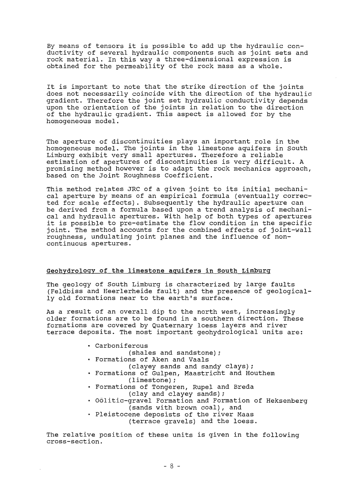By means of tensors it is possible to add up the hydraulic conductivity of several hydraulic components such as joint sets and rock material. In this way a three-dimensional expression is obtained for the permeability of the rock mass as a whole.

It is important to note that the strike direction of the joints does not necessarily coincide with the direction of the hydraulic gradient. Therefore the joint set hydraulic conductivity depends upon the orientation of the joints in relation to the direction of the hydraulic gradient. This aspect is allowed for by the homogeneous model.

The aperture of discontinuities plays an important role in the homogeneous model. The joints in the limestone aquifers in South Limburg exhibit very small apertures. Therefore a reliable estimation of apertures of discontinuities is very difficult. A promising method however is to adapt the rock mechanics approach, based on the Joint Roughness Coefficient.

This method relates JRC of a given joint to its initial mechanical aperture by means of an empirical formula (eventually corrected for scale effects). Subsequently the hydraulic aperture can be derived from a formula based upon a trend analysis of mechanica! and hydraulic apertures. With help of both types of apertures it is possible to pre-estimate the flow condition in the specific joint. The method accounts for the combined effects of joint-wall roughness, undulating joint planes and the influence of noncontinuous apertures.

### **Geohydrology of the limestone aquifers in south Limburg**

The geology of South Limburg is characterized by large faults (Feldbiss and Heerlerheide fault) and the presence of geologically old formations near to the earth's surface.

As a result of an overall dip to the north west, increasingly older formations are to be found in a southern direction. These formations are covered by Quaternary loess layers and river terrace deposits. The most important geohydrological units are:

- Carboniferous
	- (shales and sandstone);
- Formations of Aken and Vaals
	- (clayey sands and sandy clays);
- Formations of Gulpen, Maastricht and Houthem (limestone);
- Formations of Tongeren, Rupel and Breda (clay and clayey sands);
- Oölitic-gravel Formation and Formation of Heksenberg (sands with brown coal), and
- Pleistocene deposists of the river Maas (terrace gravels) and the loess.

The relative position of these units is given in the following cross-section.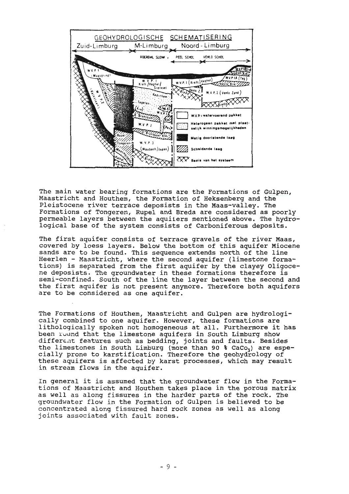

The main water bearing formations are the Formations of Gulpen, Maastricht and Houthem, the Formation of Heksenberg and the Pleistocene river terrace deposists in the Maas-valley. The Formations of Tongeren, Rupel and Breda are considered as poorly permeable layers between the aquiiers mentioned above. The hydrological base of the system consists of Carboniferous deposits.

The first aquifer consists of terrace gravels of the river Maas, covered by loess layers. Below the bottom of this aquifer Miocene sands are to be found. This sequence extends north of the line Heerlen - Maastricht, where the second aquifer (limestone formations) is separated from the first aquifer by the clayey Oligocene deposists. The groundwater in these formations therefore is semi-confined. South of the line the layer between the second and the first aquifer is not present anymore. Therefore both aquifers are to be considered as one aquifer.

The Formations of Houthem, Maastricht and Gulpen are hydrologically combined to one aquifer. However, these formations are lithologically spoken not homogeneous at all. Furthermore it has been round that the limestone aquifers in South Limburg show differ $\epsilon$ nt features such as bedding, joints and faults. Besides the limestones in South Limburg (more than 90 % CaCo<sub>3</sub>) are especially prone to karstification. Therefore the geohydrology of these aquifers is affected by karst processes, which may result in stream flows in the aquifer.

In general it is assumed that the groundwater flow in the Formations of Maastricht and Houthem takes place in the poreus matrix as well as along fissures in the harder parts of the rock. The groundwater flow in the Formation of Gulpen is believed to be concentrated along fissured hard rock zones as well as along joints associated with fault zones.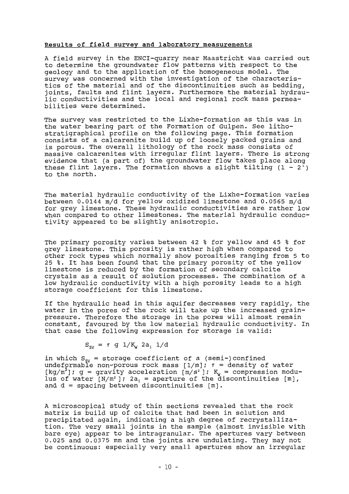### **Results of field survey and laboratory measurements**

A field survey in the ENCI-quarry near Maastricht was carried out to determine the groundwater flow patterns with respect to the geology and to the application of the homogeneous model. The survey was concerned with the investigation of the characteristics of the material and of the discontinuities such as bedding, joints, faults and flint layers. Furthermore the material hydraulic conductivities and the local and regional rock mass permeabilities were determined.

The survey was restricted to the Lixhe-formation as this was in the water bearing part of the Formation of Gulpen. See lithostratigraphical profile on the following page. This formation consists of a calcarenite build up of loosely packed grains and is porous. The overall lithology of the rock mass consists of massive calcarenites with irregular flint layers. There is strong evidence that (a part of) the groundwater flow takes place along these flint layers. The formation shows a slight tilting  $(1 - 2^{\circ})$ to the north.

The material hydraulic conductivity of the Lixhe-formation varies between 0.0144 m/d for yellow oxidized limestone and 0.0565 m/d for grey limestone. These hydraulic conductivities are rather low when compared to other limestones. The material hydraulic conductivity appeared to be slightly anisotropic.

The primary porosity varies between 42 % for yellow and 45 % for grey limestone. This porosity is rather high when compared to other rock types which normally show porosities ranging from 5 to 25 %. It has been found that the primary porosity of the yellow limestone is reduced by the formation of secondary calcite crystals as a result of solution processes. The combination of a low hydraulic conductivity with a high porosity leads to a high storage coefficient for this limestone.

If the hydraulic head in this aquifer decreases very rapidly, the water in the pores of the rock will take up the increased grainpressure. Therefore the storage in the pores will almost remain constant, favoured by the low material hydraulic conductivity. In that case the following expression for storage is valid:

$$
S_{\text{SV}} = \tau \text{ g } 1/K_{\text{W}} 2a_{\text{i}} 1/d
$$

in which  $S_{sy}$  = storage coefficient of a (semi-)confined undeformable non-porous rock mass  $[1/m]$ ;  $\tau$  = density of water [kg/m<sup>3</sup> J; g = gravity acceleration [m/s <sup>2</sup>J; ¾ = compression modulus of water  $[N/m^2]$ ;  $2a_i$  = aperture of the discontinuities  $[m]$ , and d = spacing between discontinuities [m].

A microscopical study of thin sections revealed that the rock matrix is build up of calcite that had been in solution and precipitated again, indicating a high degree of recrystallization. The very small joints in the sample (almost invisible with bare eye) appear to be intragranular. The apertures vary between 0.025 and 0.0375 mm and the joints are undulating. They may not be continuous: especially very small apertures show an irregular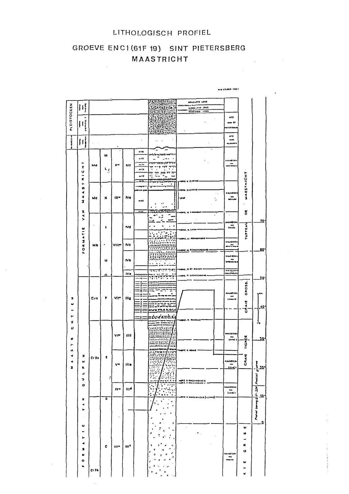### LITHOLOGISCH PROFIEL

#### GROEVE ENCI(61F19) SINT PIETERSBERG MAASTRICHT  $\mathcal{L}^{\text{max}}_{\text{max}}$  and  $\mathcal{L}^{\text{max}}_{\text{max}}$  $\sim 1$

|                      |                      |                   |    |              |                           |                                      |                                                                             |                                     | WH FELDER 1955 F                      |            |                                                       |
|----------------------|----------------------|-------------------|----|--------------|---------------------------|--------------------------------------|-----------------------------------------------------------------------------|-------------------------------------|---------------------------------------|------------|-------------------------------------------------------|
|                      |                      |                   |    |              |                           |                                      |                                                                             |                                     |                                       |            |                                                       |
|                      |                      |                   |    |              |                           |                                      |                                                                             | <b>BOVENETE LOSS</b>                |                                       |            |                                                       |
|                      | PLEISTOCEEN<br>Ħ     |                   |    |              |                           |                                      |                                                                             |                                     |                                       |            |                                                       |
|                      |                      |                   |    |              |                           |                                      |                                                                             |                                     | AP 3.                                 |            |                                                       |
|                      | ٠                    |                   |    |              |                           |                                      |                                                                             |                                     | mm 91                                 |            |                                                       |
|                      | Iť                   |                   |    |              |                           |                                      | ખ                                                                           |                                     | <b>188644</b>                         |            |                                                       |
|                      | ξ                    |                   |    |              |                           |                                      |                                                                             |                                     |                                       |            |                                                       |
|                      | ٠                    |                   |    |              |                           |                                      |                                                                             |                                     | 68 L.                                 |            |                                                       |
| tage is              | Ħ                    |                   |    |              |                           | ٠                                    |                                                                             | $\cdot$<br>٠.                       | <b>VAM</b>                            |            |                                                       |
| ß                    |                      |                   |    |              |                           |                                      |                                                                             |                                     | as, morel in                          |            |                                                       |
|                      |                      |                   |    |              |                           | $= 16$                               |                                                                             | $\cdot$                             |                                       |            |                                                       |
|                      |                      |                   | м  |              |                           |                                      | rnhantrefram                                                                |                                     |                                       |            |                                                       |
|                      |                      |                   |    |              |                           | $-11$                                | $\sim$ $\sim$ $\sim$<br>$\overline{\phantom{0}}$<br><i>ייריון וואוייווי</i> |                                     | n alad I bi h                         |            |                                                       |
|                      | ⊢<br>I               | Md                |    | ×.           | MI                        |                                      | 7<br>TT<br>ℸ                                                                |                                     | us s naas i                           |            |                                                       |
|                      | U                    |                   | بر |              |                           | $-11$                                | $\ddot{\phantom{a}}$<br>$\ddot{\phantom{0}}$<br>ה היו גרון הה<br>┯.         |                                     |                                       |            |                                                       |
|                      |                      |                   |    |              |                           | $+11$                                | $\blacksquare$<br>ï<br>                                                     |                                     |                                       |            |                                                       |
|                      | c                    |                   |    |              |                           | ΞT                                   | marka listildi ki<br>m<br><b>THITS</b>                                      | ORE V E AFTER                       |                                       | MAESTRICHT |                                                       |
|                      | ۳<br>n               |                   |    |              |                           |                                      | ٠<br>٠                                                                      |                                     |                                       |            |                                                       |
|                      | ∢                    |                   |    |              |                           | --                                   |                                                                             | <b>HAMMS</b><br>٠.                  | 844HH                                 |            |                                                       |
|                      | ∢                    | мc                | ĸ  | $ix -$       | <b>IVe</b>                |                                      |                                                                             | ared                                |                                       |            |                                                       |
|                      | z                    |                   |    |              |                           | well                                 |                                                                             | ٠,                                  | <b>MERLAN</b>                         |            |                                                       |
|                      |                      |                   |    |              |                           |                                      | ٠<br>٠<br>٠                                                                 |                                     |                                       |            |                                                       |
|                      | z                    |                   |    |              |                           | <u> 511 </u>                         | <b>BARTOSA GEERINA</b>                                                      | <b>HORE, N. LAUMONT</b>             |                                       | ដ          |                                                       |
|                      | ≺<br>s               |                   |    |              |                           |                                      | нã                                                                          | $\ddot{\phantom{0}}$                | $\ddot{\phantom{1}}$                  |            |                                                       |
|                      |                      |                   |    |              |                           |                                      | ⊷                                                                           |                                     | سسيس                                  |            | 70                                                    |
|                      |                      |                   | ŧ  |              | $_{\mathsf{nd}}$          |                                      | ٠<br>٠<br>٠                                                                 |                                     | بالساء                                | TUFFEAU    |                                                       |
|                      | ATIE                 |                   |    |              |                           |                                      |                                                                             | 441. V. LAVA                        |                                       |            |                                                       |
|                      |                      |                   |    |              |                           |                                      |                                                                             | -HOST, V. ROMONTOOR                 |                                       |            |                                                       |
|                      | $\frac{1}{2}$        |                   | ٠  |              | Nc                        |                                      |                                                                             |                                     | <b>BALABTEEM</b>                      |            |                                                       |
|                      | o                    | Мb                |    | <b>VIIM</b>  |                           |                                      |                                                                             |                                     | ።                                     |            | 60                                                    |
|                      | u,                   |                   |    |              |                           |                                      |                                                                             | HOAL V. TCHIFFINING                 |                                       |            |                                                       |
|                      |                      |                   |    |              | <b>Nb</b>                 |                                      |                                                                             |                                     | KALA SIYEK                            |            |                                                       |
|                      |                      |                   | н  |              |                           |                                      | Эé<br>$\bullet$<br>,<br>. .                                                 |                                     | Crowsville                            |            |                                                       |
|                      |                      |                   |    |              |                           |                                      | च्यादश्यनहरू                                                                | OAJ. V. 81<br><b>P-816</b>          |                                       |            |                                                       |
|                      |                      |                   | Ω  |              | IV.                       |                                      | $\bullet$                                                                   | HONE, V. LICHTENGENE                | $-111$                                |            |                                                       |
|                      |                      |                   |    |              |                           | 18                                   | 77<br>र प<br>يتقلق                                                          |                                     |                                       |            | 5۵                                                    |
|                      |                      |                   |    |              |                           | ŧ۵<br>.r<br>$\overline{\phantom{a}}$ |                                                                             |                                     |                                       |            |                                                       |
|                      |                      |                   |    |              |                           | :n=                                  |                                                                             |                                     |                                       | CROSS.     |                                                       |
|                      |                      |                   |    |              |                           |                                      |                                                                             |                                     | <b>GALARTEEN</b>                      |            | ۱ġ۵                                                   |
| x                    |                      | C <sub>f</sub>    | ۴  | $V1 =$       | $\mathbf{11}_{9}$         |                                      |                                                                             |                                     | Lamare                                |            |                                                       |
| ω                    |                      |                   |    |              |                           |                                      | 33                                                                          |                                     |                                       | Į          |                                                       |
|                      |                      |                   |    |              |                           |                                      | KWA VELE EJILI                                                              |                                     |                                       | Ğ          | 10                                                    |
| ⊢                    |                      |                   |    |              |                           |                                      | miste<br>٦d                                                                 |                                     |                                       |            |                                                       |
| z                    |                      |                   |    |              |                           |                                      | ÷                                                                           | ONE, V. MIVELLE                     |                                       |            |                                                       |
|                      |                      |                   |    |              |                           |                                      |                                                                             |                                     |                                       |            | J.                                                    |
| ပ                    |                      |                   |    |              |                           |                                      | القافاة فالمأباء<br><b>Alixand</b><br>Aliyatan                              |                                     |                                       |            |                                                       |
|                      |                      |                   |    | ۷۳           | 1111                      |                                      | HANDISSEN                                                                   |                                     | <b>MALA B T F SA</b>                  |            |                                                       |
| œ                    |                      |                   |    |              |                           |                                      | m                                                                           |                                     | $14 - 41$                             | TIGRÉE     | 10                                                    |
| ۰.                   |                      |                   |    |              |                           |                                      | <b>HANDER</b><br>$\mathcal{L}$                                              |                                     |                                       |            |                                                       |
|                      |                      |                   |    |              |                           |                                      | <b>LEICEAL-TOWN</b><br>"                                                    |                                     |                                       |            |                                                       |
| $\blacktriangleleft$ | z                    | $Ct$ 3c           | t  |              |                           |                                      | $\frac{1}{2}$<br>ř<br>,,                                                    |                                     |                                       |            |                                                       |
|                      | ш                    |                   |    |              |                           |                                      |                                                                             |                                     | <b>KALABIED</b>                       | CRAIL      |                                                       |
| $\blacksquare$       | $\blacksquare$       |                   |    | v٣           | Hi o                      |                                      |                                                                             |                                     | $\bullet\bullet\bullet$<br><u>mar</u> |            |                                                       |
|                      | ے                    |                   |    |              |                           |                                      |                                                                             |                                     |                                       |            |                                                       |
|                      |                      |                   | ı  |              |                           |                                      |                                                                             |                                     |                                       |            |                                                       |
|                      | э                    |                   |    |              |                           |                                      |                                                                             | <b>HALLAMBATE P</b><br>FALLAMBATE P |                                       |            |                                                       |
|                      | O                    |                   |    | $IV -$       | ш¢                        |                                      | ۰.<br>٠<br>٠                                                                |                                     | 88116H                                |            |                                                       |
|                      |                      |                   |    |              |                           |                                      | Ą,<br>٠<br>$\bullet$                                                        |                                     | $\blacksquare$<br><b>Lined 8</b>      |            |                                                       |
|                      | ×                    |                   | ø  |              |                           |                                      | ٠                                                                           | itta (= tisme)                      |                                       |            | ya<br>Walai yana gir: 124   Mairel gipana<br> -<br> - |
|                      | $\blacktriangleleft$ |                   |    |              |                           |                                      | ٠                                                                           |                                     |                                       |            |                                                       |
|                      | ►                    |                   |    |              |                           |                                      |                                                                             |                                     |                                       |            |                                                       |
|                      |                      |                   |    |              |                           |                                      |                                                                             |                                     |                                       |            |                                                       |
|                      |                      |                   |    |              |                           |                                      |                                                                             |                                     |                                       |            |                                                       |
|                      |                      |                   |    |              |                           |                                      | ţ.                                                                          |                                     |                                       |            | ء                                                     |
|                      | ш                    |                   |    |              |                           |                                      | ٠.                                                                          |                                     |                                       | w          |                                                       |
|                      |                      |                   |    |              |                           |                                      |                                                                             |                                     |                                       | u          |                                                       |
|                      | ►                    |                   |    |              |                           |                                      |                                                                             |                                     |                                       | ۰          |                                                       |
|                      | ٠                    |                   |    |              |                           |                                      |                                                                             |                                     |                                       | ĸ          |                                                       |
|                      | ı                    |                   | c  | $\mathbf{m}$ | $\mathbf{m}^{\mathbf{c}}$ |                                      |                                                                             |                                     |                                       |            |                                                       |
|                      | ĸ                    |                   |    |              |                           |                                      |                                                                             |                                     | a Alt I ba                            | u          |                                                       |
|                      | ۰                    |                   |    |              |                           |                                      |                                                                             |                                     | nn en                                 |            |                                                       |
|                      |                      |                   |    |              |                           |                                      |                                                                             |                                     |                                       | w          |                                                       |
|                      | u                    | C <sub>1</sub> 3b |    |              |                           |                                      |                                                                             |                                     |                                       | ⇒          |                                                       |
|                      |                      |                   |    |              |                           |                                      |                                                                             |                                     |                                       | ¢          |                                                       |
|                      |                      |                   |    |              |                           |                                      |                                                                             |                                     |                                       |            |                                                       |

 $\mathcal{L}_{\mathcal{A}}$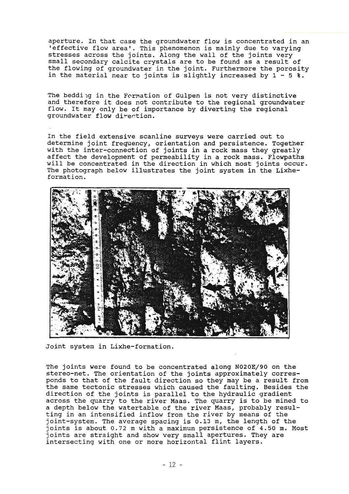aperture. In that case the groundwater flow is concentrated in an 'effective flow area'. This phenomenon is mainly due to varying stresses across the joints. Along the wall of the joints very small secondary calcite crystals are to be found as a result of the flowing of groundwater in the joint. Furthermore the porosity in the material near to joints is slightly increased by  $1 - 5$  %.

The bedding in the Formation of Gulpen is not very distinctive and therefore it does not contribute to the regional groundwater flow. It may only be of importance by diverting the regional groundwater flow direction.

In the field extensive scanline surveys were carried out to determine joint frequency, orientation and persistence. Together with the inter-connection of joints in a rock mass they greatly affect the development of permeability in a rock mass. Flowpaths will be concentrated in the direction in which most joints occur. The photograph below illustrates the joint system in the Lixheformation.



Joint system in Lixhe-formation.

The joints were found to be concentrated along N020E/90 on the stereo-net. The orientation of the joints approximately corresponds to that of the fault direction so they may be a result from the same tectonic stresses which caused the faulting. Besides the direction of the joints is parallel to the hydraulic gradient across the quarry to the river Maas. The quarry is to be mined to a depth below the watertable of the river Maas, probably resulting in an intensified inflow from the river by means of the joint-system. The average spacing is 0.13 m, the length of the joints is about 0.72 m with a maximum persistence of 4.50 m. Most joints are straight and show very small apertures. They are intersecting with one or more horizontal flint layers.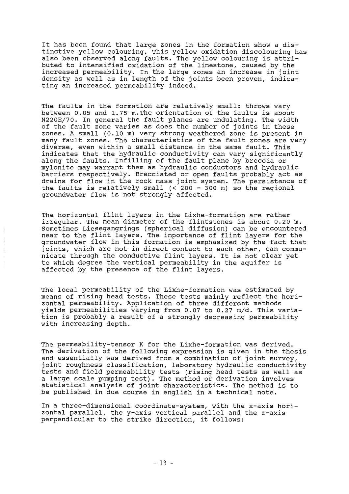It has been found that large zones in the formation show a distinctive yellow colouring. This yellow oxidation discolouring has also been observed along faults. The yellow colouring is attributed to intensified oxidation of the limestone, caused by the increased permeability. In the large zones an increase in joint density as well as in length of the joints been proven, indicating an increased permeability indeed.

The faults in the formation are relatively small: throws vary between 0.05 and 1.75 m. The orientation of the faults is about N220E/70. In general the fault planes are undulating. The width of the fault zone varies as does the number of joints in these zones. A small (0.10 m) very strong weathered zone is present in many fault zones. The characteristics of the fault zones are very diverse, even within a small distance in the same fault. This indicates that the hydraulic conductivity can vary significantly along the faults. Infilling of the fault plane by breccia or mylonite may warrant them as hydraulic conductors and hydraulic barriers respectively. Brecciated or open faults probably act as drains for flow in the rock mass joint system. The persistence of the faults is relatively small (< 200 - 300 m) so the regional groundwater flow is not strongly affected.

The horizontal flint layers in the Lixhe-formation are rather irregular. The mean diameter of the flintstones is about 0.20 m. Sometimes Liesegangrings (spherical diffusion) can be encountered near to the flint layers. The importance of flint layers for the groundwater flow in this formation is emphasized by the fact that joints, which are not in direct contact to each other, can communicate through the conductive flint layers. It is not clear yet to which degree the vertical permeability in the aquifer is affected by the presence of the flint layers.

The local permeability of the Lixhe-formation was estimated by means of rising head tests. These tests mainly reflect the horizontal permeability. Application of three different methods yields permeabilities varying from 0.07 to 0.27 m/d. This variation is probably a result of a strongly decreasing permeability with increasing depth.

The permeability-tensor K for the Lixhe-formation was derived. The derivation of the following expression is given in the thesis and essentially was derived from a combination of joint survey, joint roughness classification, laboratory hydraulic conductivity tests and field permeability tests (rising head tests as well as a large scale pumping test). The method of derivation involves statistica! analysis of joint characteristics. The method is to be published in due course in english in a technical note.

In a three-dimensional coordinate-system, with the x-axis horizontal parallel, the y-axis vertical parallel and the z-axis perpendicular to the strike direction, it follows: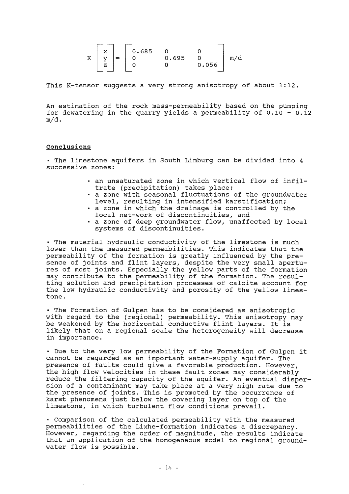$$
K\begin{bmatrix} x \\ y \\ z \end{bmatrix} = \begin{bmatrix} 0.685 & 0 & 0 \\ 0 & 0.695 & 0 \\ 0 & 0 & 0.056 \end{bmatrix} m/d
$$

This K-tensor suggests a very strong anisotropy of about 1:12.

An estimation of the rock mass-permeability based on the pumping for dewatering in the quarry yields a permeability of  $0.10 - 0.12$ m/d.

### **conclusions**

• The limestone aquifers in South Limburg can be divided into 4 successive zones:

- an unsaturated zone in which vertical flow of infilan unsucurated zone in which vertical
- a zone with seasonal fluctuations of the groundwater level, resulting in intensified karstification;
- a zone in which the drainage is controlled by the local net-werk of discontinuities, and
- a zone of deep groundwater flow, unaffected by local systems of discontinuities.

• The material hydraulic conductivity of the limestone is much lower than the measured permeabilities. This indicates that the permeability of the formation is greatly influenced by the presence of joints and flint layers, despite the very small apertures of most joints. Especially the yellow parts of the formation may contribute to the permeability of the formation. The resulting solution and precipitation processes of calcite account for the low hydraulic conductivity and porosity of the yellow limestone.

• The Formation of Gulpen has to be considered as anisotropic with regard to the (regional) permeability. This anisotropy may be weakened by the horizontal conductive flint layers. It is likely that on a regional scale the heterogeneity will decrease in importance.

• Due to the very low permeability of the Formation of Gulpen it cannot be regarded as an important water-supply aquifer. The presence of faults could give a favorable production. However, the high flow velocities in these fault zones may considerably reduce the filtering capacity of the aquifer. An eventual dispersion of a contaminant may take place at a very high rate due to the presence of joints. This is promoted by the occurrence of karst phenomena just below the covering layer on top of the limestone, in which turbulent flow conditions prevail.

• Comparison of the calculated permeability with the measured permeapilities of the Lixhe-formation indicates a discrepancy. However, regarding the order of magnitude, the results indicate that an application of the homogeneous model to regionàl groundwater flow is possible.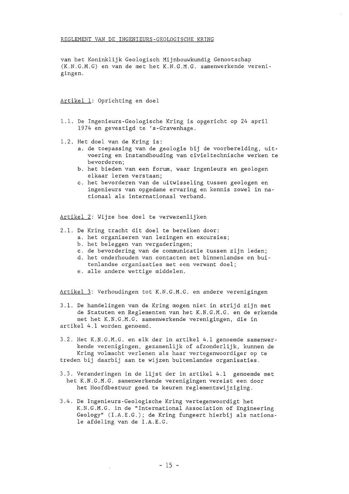van het Koninklijk Geologisch Mijnbouwkundig Genootschap (K . N. G.M.G) en van de met het K.N.G .M.G . samenwerkende verenigingen .

Artikel 1: Oprichting en doel

- 1.1. De Ingenieurs-Geologische Kring is opgericht op 24 april 1974 en gevestigd te 's-Gravenhage.
- 1.2. Het doel van de Kring is:
	- a. de toepassing van de geologie bij de voorbereiding, uitvoering en instandhouding van civieltechnische werken te bevorderen;
	- b. het bieden van een forum, waar ingenieurs en geologen elkaar leren verstaan;
	- c. het bevorderen van de uitwisseling tussen geologen en ingenieurs van opgedane ervaring en kennis zowel in nationaal als internationaal verband.

Artikel 2: Wijze hoe doel te verwezenlijken

- 2.1. De Kring tracht dit doel te bereiken door:
	- a. het organiseren van lezingen en excursies;
	- b. het beleggen van vergaderingen;
	- c. de bevordering van de communicatie tussen zijn leden;
	- d. het onderhouden van contacten met binnenlandse en buitenlandse organisaties met een verwant doel;
	- e. alle andere wettige middelen.

Artikel 3: Verhoudingen tot K.N.G.M.G. en andere verenigingen

3.1. De handelingen van de Kring mogen niet in strijd zijn met de Statuten en Reglementen van het K.N.G.M.G. en de erkende met het K.N.G.M.G. samenwerkende verenigingen, die in artikel 4.1 worden genoemd.

- 3.2. Het K.N.G.M.G. en elk der in artikel 4.1 genoemde samenwerkende verenigingen, gezamenlijk of afzonderlijk, kunnen de Kring volmacht verlenen als haar vertegenwoordiger op te treden bij daarbij aan te wijzen buitenlandse organisaties.
- 3.3. Veranderingen in de lijst der in artikel 4.1 genoemde met het K.N.G.M.G . samenwerkende verenigingen vereist een door het Hoofdbestuur goed te keuren reglementswijziging.
- 3.4. De Ingenieurs -Geologische Kring vertegenwoordigt het K.N.G.M.G. in de "International Association of Engineering Geology" (I.A.E.G.); de Kring fungeert hierbij als nationale afdeling van de I.A.E.G.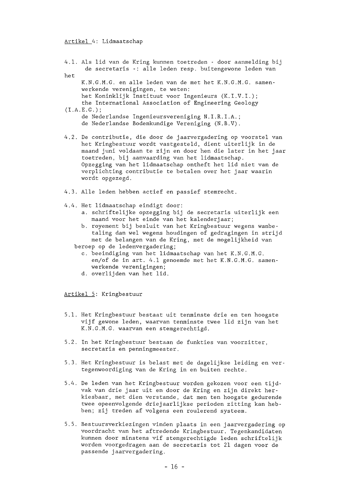### Artikel 4: Lidmaatschap

|     | 4.1. Als lid van de Kring kunnen toetreden - door aanmelding bij<br>de secretaris -: alle leden resp. buitengewone leden van                                                                                                                                                                                                                                                                                       |
|-----|--------------------------------------------------------------------------------------------------------------------------------------------------------------------------------------------------------------------------------------------------------------------------------------------------------------------------------------------------------------------------------------------------------------------|
| het |                                                                                                                                                                                                                                                                                                                                                                                                                    |
|     | K.N.G.M.G. en alle leden van de met het K.N.G.M.G. samen-<br>werkende verenigingen, te weten:<br>het Koninklijk Instituut voor Ingenieurs (K.I.V.I.);<br>the International Association of Engineering Geology<br>(I.A.E.G.);                                                                                                                                                                                       |
|     | de Nederlandse Ingenieursvereniging N.I.R.I.A.;                                                                                                                                                                                                                                                                                                                                                                    |
|     | de Nederlandse Bodemkundige Vereniging (N.B.V).                                                                                                                                                                                                                                                                                                                                                                    |
|     | $\hbar$ , $\Omega$ , $\hbar$ , $\sigma$ , $\sigma$ , $\sigma$ , $\sigma$ , $\sigma$ , $\sigma$ , $\sigma$ , $\sigma$ , $\sigma$ , $\sigma$ , $\sigma$ , $\sigma$ , $\sigma$ , $\sigma$ , $\sigma$ , $\sigma$ , $\sigma$ , $\sigma$ , $\sigma$ , $\sigma$ , $\sigma$ , $\sigma$ , $\sigma$ , $\sigma$ , $\sigma$ , $\sigma$ , $\sigma$ , $\sigma$ , $\sigma$ , $\sigma$ , $\sigma$ , $\sigma$ , $\sigma$ , $\sigma$ |

- 4.2. De contributie, die door de jaarvergadering op voorstel van het Kringbestuur wordt vastgesteld, dient uiterlijk in de maand juni voldaan te zijn en door hen die later in het jaar toetreden, bij aanvaarding van het lidmaatschap. Opzegging van het lidmaatschap ontheft het lid niet van de verplichting contributie te betalen over het jaar waarin wordt opgezegd.
- 4.3. Alle leden hebben actief en passief stemrecht.
- 4.4. Het lidmaatschap eindigt door:
	- a. schriftelijke opzegging bij de secretaris uiterlijk een maand voor het einde van het kalenderjaar;
	- b. royement bij besluit van het Kringbestuur wegens wanbetaling dan wel wegens houdingen of gedragingen in strijd met de belangen van de Kring, met de mogelijkheid van
	- beroep op de ledenvergadering;
		- c. beeindiging van het lidmaatschap van het K.N. G.M. G. en/of de in art. 4.1 genoemde met het K.N.G.M.G. samenwerkende verenigingen;
		- d. overlijden van het lid.

Artikel 5: Kringbestuur

- 5.1. Het Kringbestuur bestaat uit tenminste drie en ten hoogste vijf gewone leden, waarvan tenminste twee lid zijn van het K.N.G.M.G. waarvan een stemgerechtigd.
- 5.2. In het Kringbestuur bestaan de funkties van voorzitter, secretaris en penningmeester.
- 5.3 . Het Kringbestuur is belast met de dagelijkse leiding en vertegenwoordiging van de Kring in en buiten rechte.
- 5.4. De leden van het Kringbestuur worden gekozen voor een tijdvak van drie jaar uit en door de Kring en zijn direkt herkiesbaar, met dien verstande, dat men ten hoogste gedurende twee opeenvolgende driejaarlijkse perioden zitting kan hebben; zij treden af volgens een roulerend systeem.
- 5.5. Bestuursverkiezingen vinden plaats in een jaarvergadering op voordracht van het aftredende Kringbestuur. Tegenkandidaten kunnen door minstens vif stemgerechtigde leden schriftelijk worden voorgedragen aan de secretaris tot 21 dagen voor de passende jaarvergadering .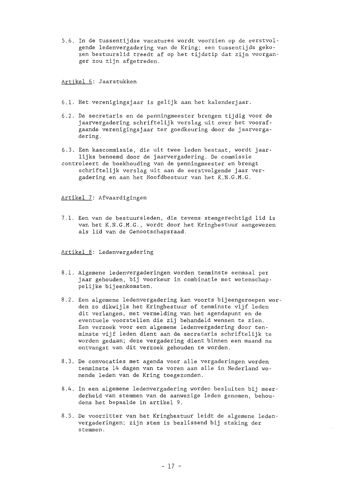5.6 . In de tussentijdse vacatures wordt voorzien op de eerstvolgende ledenvergadering van de Kring; een tussentijds gekozen bestuurslid treedt af op het tijdstip dat zijn voorganger zou zijn afgetreden.

Artikel 6: Jaarstukken

- 6.1. Het verenigingsjaar is gelijk aan het kalenderjaar.
- 6.2. De secretaris en de penningmeester brengen tijdig voor de jaarvergadering schriftelijk verslag uit over het voorafgaande verenigingsjaar ter goedkeuring door de jaarvergadering.
- 6 . 3. Een kascommissie, die uit twee leden bestaat, wordt jaarlijks benoemd door de jaarvergadering. De commissie
- controleert de boekhouding van de penningmeester en brengt schriftelijk verslag uit aan de eerstvolgende jaar vergadering en aan het Hoofdbestuur van het K.N.G.M.G.

Artikel 7: Afvaardigingen

7.1. Een van de bestuursleden, die tevens stemgerechtigd lid is van het K.N.G.M.G., wordt door het Kringbestuur aangewezen als lid van de Genootschapsraad.

Artikel 8: Ledenvergadering

- 8.1. Algemene ledenvergaderingen worden tenminste eenmaal per jaar gehouden, bij voorkeur in combinatie met wetenschappelijke bijeenkomsten.
- 8.2. Een algemene ledenvergadering kan voorts bijeengeroepen worden zo dikwijls het Kringbestuur of tenminste vijf leden dit verlangen, met vermelding van het agendapunt en de eventuele voorstellen die zij behandeld wensen te zien. Een verzoek voor een algemene ledenvergadering door tenminste vijf leden dient aan de secretaris schriftelijk te worden gedaan; deze vergadering dient binnen een maand na ontvangst van dit verzoek gehouden te worden .
- 8.3. De convocaties met agenda voor alle vergaderingen worden tenminste 14 dagen van te voren aan alle in Nederland wonende leden van de Kring toegezonden .
- 8.4. In een algemene ledenvergadering worden besluiten bij meerderheid van stemmen van de aanwezige leden genomen, behoudens het bepaalde in artikel 9.
- 8.5. De voorzitter van het Kringbestuur leidt de algemene ledenvergaderingen; zijn stem is beslissend bij staking der stemmen.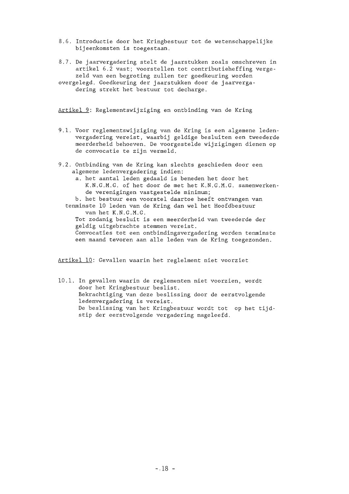- 8.6. Introductie door het Kringbestuur tot de wetenschappelijke bijeenkomsten is toegestaan .
- 8.7. De jaarvergadering stelt de jaarstukken zoals omschreven in artikel 6.2 vast; voorstellen tot contributieheffing vergezeld van een begroting zullen ter goedkeuring worden
- overgelegd. Goedkeuring der jaarstukken door de jaarvergadering strekt het bestuur tot decharge.

Artikel 9: Reglementswijziging en ontbinding van de Kring

- 9.1. Voor reglementswijziging van de Kring is een algemene ledenvergadering vereist, waarbij geldige besluiten een tweederde meerderheid behoeven. De voorgestelde wijzigingen dienen op de convocatie te zijn vermeld.
- 9.2. Ontbinding van de Kring kan slechts geschieden door een algemene ledenvergadering indien:
	- a. het aantal leden gedaald is beneden het door het K.N.G.M.G. of het door de met het K.N.G.M.G. samenwerkende verenigingen vastgestelde minimum;

b. het bestuur een voorstel daartoe heeft ontvangen van

tenminste 10 leden van de Kring dan wel het Hoofdbestuur van het K.N.G .M.G.

Tot zodanig besluit is een meerderheid van tweederde der geldig uitgebrachte stemmen vereist .

Convocaties tot een ontbindingsvergadering worden tenminste een maand tevoren aan alle leden van de Kring toegezonden .

Artikel 10: Gevallen waarin het reglelment niet voorziet

10.1. In gevallen waarin de reglementen niet voorzien, wordt door het Kringbestuur beslist. Bekrachtiging van deze beslissing door de eerstvolgende ledenvergadering is vereist. De beslissing van het Kringbestuur wordt tot op het tijdstip der eerstvolgende vergadering nageleefd.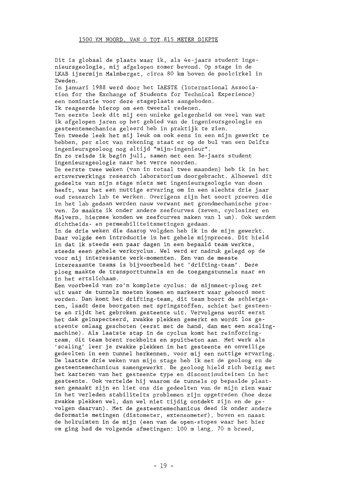Dit is globaal de plaats waar ik, als 4e-jaars student ingenieursgeologie, mij afgelopen zomer bevond. Op stage in de LKAB ijzermijn Malmberget, circa 80 km boven de poolcirkel in Zweden. In januari 1988 werd door het IAESTE (International Association for the Exchange of Students for Technical Experience) een nominatie voor deze stageplaats aangeboden. Ik reageerde hierop om een tweetal redenen. Ten eerste leek dit mij een unieke gelegenheid om veel van wat ik afgelopen jaren op het gebied van de ingenieursgeologie en gesteentemechanica geleerd heb in praktijk te zien. Ten tweede leek het mij leuk om ook eens in een mijn gewerkt te hebben, per slot van rekening staat er op de bul van een Delfts ingenieursgeoloog nog altijd "mijn-ingenieur". En zo reisde ik begin juli, samen met een 3e-jaars student ingenieursgeologie naar het verre noorden. De eerste twee weken (van in totaal twee maanden) heb ik in het ertsverwerkings research laboratorium doorgebracht. Alhoewel dit gedeelte van mijn stage niets met ingenieursgeologie van doen heeft, was het een nuttige ervaring om in een slechts drie jaar oud research lab te werken. Overigens zijn het soort proeven die in het lab gedaan werden nauw verwant met grondmechanische proeven. Zo maakte ik onder andere zeefcurves (zeven, cyclosizer en Malvern, hiermee konden we zeefcurves maken van 1 um). Ook werden dichtheids- en permeabiliteitsmetingen gedaan. In de drie weken die daarop volgden heb ik in de mijn gewerkt. Daar volgde een introductie in het gehele mijnproces. Dit hield in dat ik steeds een paar dagen in een bepaald team werkte, steeds eeen gehele werkcyclus . Wel werd er nadruk gelegd op de voor mij interessante werk-momenten . Een van de meeste interessante teams is bijvoorbeeld het 'drifting-team'. Deze ploeg maakte de transporttunnels en de toegangstunnels naar en in het ertslichaam. Een voorbeeld van zo'n komplete cyclus: de mijnmeet-ploeg zet uit waar de tunnels moeten komen en markeert waar geboord moet worden. Dan komt het drifting-team, dit team boort de schietgaten, laadt deze boorgaten met springstoffen, schiet het gesteente en rijdt het gebroken gesteente uit. Vervolgens wordt eerst het dak geïnspecteerd, zwakke plekken gemerkt en wordt los gesteente omlaag geschoten (eerst met de hand, dan met een scalingmachine). Als laatste stap in de cyclus komt het reinforcingteam, dit team brent rockbolts en spuitbeton aan. Met werk als 'sealing' leer je zwakke plekken in het gesteente en onveilige gedeelten in een tunnel herkennen, voor mij een nuttige ervaring. De laatste drie weken van mijn stage heb ik met de geoloog en de gesteentemechanicus samengewerkt. De geoloog hield zich bezig met het karteren van het gesteente type en discontinuiteiten in het gesteente. Ook vertelde hij waarom de tunnels op bepaalde plaatsen gemaakt zijn en liet ons die gedeelten van de mijn zien waar in het verleden stabiliteits problemen zijn opgetreden (hoe deze zwakke plekken wel, dan wel niet tijdig ontdekt zijn en de gevolgen daarvan) . Met de gesteentemechanicus deed ik onder andere deformatie metingen (distometer, extensometer), boven en naast de holruimten in de mijn (een van de open-stopes waar het hier om ging had de volgende afmetingen: 100 m lang, 70 m breed,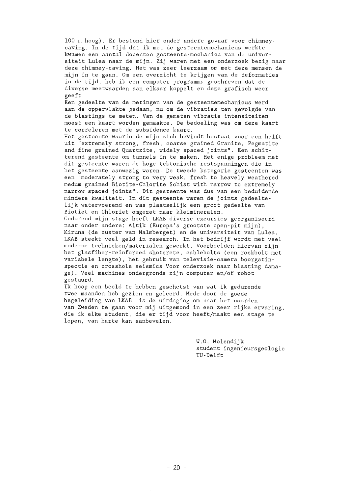100 m hoog) . Er bestond hier onder andere gevaar voor chimney caving. In de tijd dat ik met de gesteentemechanicus werkte kwamen een aantal docenten gesteente -mechanica van de universiteit Lulea naar de mijn. Zij waren met een onderzoek bezig naar deze chimney-caving. Het was zeer leerzaam om met deze mensen de mijn in te gaan. Om een overzicht te krijgen van de deformaties in de tijd, heb ik een computer programma geschreven dat de diverse meetwaarden aan elkaar koppelt en deze grafisch weer geeft

Een gedeelte van de metingen van de gesteentemechanicus werd aan de oppervlakte gedaan, nu om de vibraties ten gevolgde van de blastings te meten. Van de gemeten vibratie intensiteiten moest een kaart worden gemaakte. De bedoeling was om deze kaart te correleren met de subsidence kaart.

Het gesteente waarin de mijn zich bevindt bestaat voor een helft uit "extremely strong, fresh, coarse grained Granite, Pegmatite and fine grained Quartzite, widely spaced joints". Een schitterend gesteente om tunnels in te maken. Het enige probleem met dit gesteente waren de hoge tektonische restspanningen die in het gesteente aanwezig waren. De tweede kategorie gesteenten was een "moderately strong to very weak, fresh to heavely weathered medurn grained Biotite-Chlorite Schist with narrow to extremely narrow spaced joints". Dit gesteente was dus van een beduidende mindere kwaliteit. In dit gesteente waren de joints gedeeltelijk watervoerend en was plaatselijk een groot gedeelte van Biotiet en Chloriet omgezet naar kleimineralen.

Gedurend mijn stage heeft LKAB diverse excursies georganiseerd naar onder andere: Aitik (Europa's grootste open-pit mijn) , Kiruna (de zuster van Malmberget) en de universiteit van Lulea. LKAB steekt veel geld in research. In het bedrijf wordt met veel moderne technieken/materialen gewerkt. Voorbeelden hiervan zijn het glasfiber-reinforced shotcrete, cablebolts (een rockbolt met variabele lengte), het gebruik van televisie-camera boorgatinspectie en crosshole seismics Voor onderzoek naar blasting damage). Veel machines ondergronds zijn computer en/of robot gestuurd.

Ik hoop een beeld te hebben geschetst van wat ik gedurende twee maanden heb gezien en geleerd. Mede door de goede begeleiding van LKAB is de uitdaging om naar het noorden van Zweden te gaan voor mij uitgemond in een zeer rijke ervaring, die ik elke student, die er tijd voor heeft/maakt een stage te lopen, van harte kan aanbevelen.

> W.O. Molendijk student ingenieursgeologie TU-Delft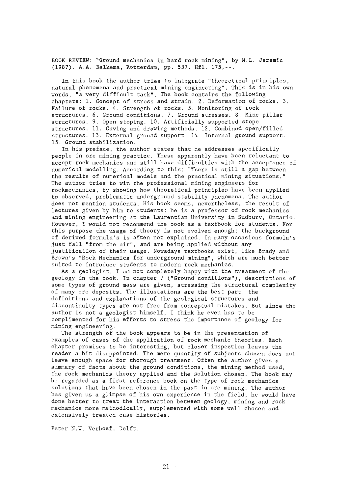BOOK REVIEW: "Ground mechanics in hard rock mining", by M.L. Jeremic (1987). **A.A.** Balkema, Rotterdam, pp. 537. Hfl. 175,--.

In this book the author tries to integrate "theoretical principles, natural phenomena and practical mining engineering". This is in his own words, "a very difficult task". The book contains the following chapters: 1. Concept of stress and strain. 2. Deformation of rocks. 3. Failure of rocks. 4. Strength of rocks. 5. Monitoring of rock structures. 6. Ground conditions. 7. Ground stresses. 8. Mine pillar structures. 9. Open stoping. 10. Artificially supported stope structures. 11. Caving and drawing methods. 12. Combined open/filled structures. 13. External ground support. 14. Internal ground support. 15. Ground stabilization.

In his preface, the author states that he addresses specifically people in ore mining practice. These apparently have been reluctant to accept rock mechanics and still have difficulties with the acceptance of numerical modelling. According to this: "There is still a gap between the results of numerical models and the practical mining situations." The author tries to win the professional mining engineers for rockmechanics, by showing how theoretical principles have been applied to observed, problernatic underground stability phenomena. The author does not mention students. His book seems, nevertheless, the result of lectures given by him to students: he is a professor of rock mechanics and mining engineering at the Laurentian University in Sudbury, Ontario. However, I would not recommend the book as a textbook for students. For this purpose the usage of theory is not evolved enough; the background of derived formula's is aften not explained. In many occasions forrnula's just fall "from the air", and are being applied without any justification of their usage. Nowadays textbooks exist, like Brady and Brown's "Rock Mechanics for underground mining", which are much better suited to introduce students to modern rock mechanics .

As a geologist, I am not completely happy with the treatment of the geology in the book. In chapter 7 ("Ground conditions"), descriptions of some types of ground mass are given, stressing the structural complexity of many ore deposits. The illustations are the best part, the definitions and explanations of the geological structures and discontinuity types are not free from conceptual mistakes. But since the author is not a geologist himself, I think he even has to be complimented for his efforts to stress the importance of geology for mining engineering.

The strength of the book appears to be in the presentation of exarnples of cases of the application of rock mechanic theories. Each chapter promises to be interesting, but closer inspection leaves the reader a bit disappointed. The mere quantity of subjects chosen does not leave enough space for thorough treatment. Often the author gives a summary of facts about the ground conditions, the mining method used, the rock mechanics theory applied and the solution chosen. The book may be regarded as a first reference book on the type of rock mechanics solutions that have been chosen in the past in ore mining. The author has given us a glimpse of his own experience in the field; he would have done better to treat the interaction between geology, mining and rock mechanics more methodically, supplemented with some well chosen and extensively treated case histories .

Peter N.W. Verhoef, Delft.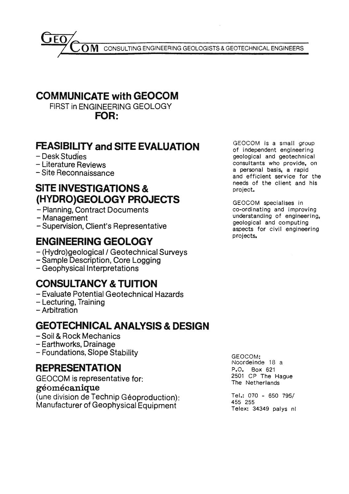CONSULTING ENGINEERING GEOLOGISTS & GEOTECHNICAL ENGINEERS , O M

### **COMMUNICATE with GEOCOM**

FIRST in ENGINEERING GEOLOGY **FOR:** 

### **FEASIBILITY and SITE EVALUATION**

- Desk Studies
- Literature Reviews
- Site Reconnaissance

### **SITE INVESTIGATIONS** & **(HYDRO)GEOLOGY PROJECTS**

- Planning, Contract Documents
- Management
- Supervision, Client's Representative

### **ENGINEERING GEOLOGY**

- (Hydro)geological / Geotechnical Surveys
- Sample Description, Core Logging
- Geophysical lnterpretations

### **CONSULTANCY & TUITION**

- Evaluate Potential Geotechnical Hazards
- Lecturing, Training
- Arbitration

### **GEOTECHNICAL ANALYSIS & DESIGN**

- Soil & Rock Mechanics
- Earthworks, Drainage
- Foundations, Slope Stability

### **REPRESENTATION**

GEOCOM is representative for:

### **géomécanique**

(une division de Technip Géoproduction): Manufacturer of Geophysical Equipment

GEOCOM is a small group of independent engineering geological and geotechnical consultants who provide, on a personal basis, a rapid and efficient service for the needs of the client and his project.

GEOCOM specialises in co-ordinating and improving understanding of engineering. geological and computlng aspects for civil engineering projects.

GEOCOM: Noordeinde 18 a P.O. Box 621 2501 CP The Hague The Netherlands

Tel.: 070 - 650 795/ 455 255 Telex: 34349 palys nl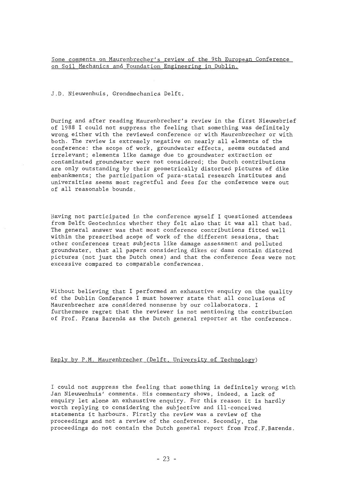Some comments on Maurenbrecher's review of the 9th European Conference on Soil Mechanics and Foundation Engineering in Dublin.

J . D. Nieuwenhuis, Grondmechanica Delft.

During and after reading Maurenbrecher's review in the first Nieuwsbrief of 1988 I could not suppress the feeling that something was definitely wrong either with the reviewed conference or with Maurenbrecher or with both. The review is extremely negative on nearly all elements of the conference: the scope of work, groundwater effects, seems outdated and irrelevant; elements like damage due to groundwater extraction or contaminated groundwater were not considered; the Dutch contributions are only outstanding by their geometrically distorted pictures of dike embankments; the participation of para-statal research institutes and universities seems most regretful and fees for the conference were out of all reasonable bounds.

Having not participated in the conference myself I questioned attendees from Delft Geotechnics whether they felt also that it was all that bad. The general answer was that most conference contributions fitted well within the prescribed scope of work of the different sessions, that other conferences treat subjects like damage assessment and polluted groundwater, that all papers considering dikes or dams contain distored pictures (not just the Dutch ones) and that the conference fees were not excessive compared to comparable conferences.

Without believing that I performed an exhaustive enquiry on the quality of the Dublin Conference I must however state that all conclusions of Maurenbrecher are considered nonsense by our collaborators. I furthermore regret that the reviewer is not mentioning the contribution of Prof . Frans Barends as the Dutch general reporter at the conference.

### Reply by P.M. Maurenbrecher (Delft, University of Technology)

I could not suppress the feeling that something is definitely wrong with Jan Nieuwenhuis' comments. His commentary shows, indeed, a lack of enquiry let alone an exhaustive enquiry. For this reason it is hardly worth replying to considering the subjective and ill-conceived statements it harbours. Firstly the review was a review of the proceedings and not a review of the conference. Secondly, the proceedings do not contain the Dutch general report from Prof.F.Barends.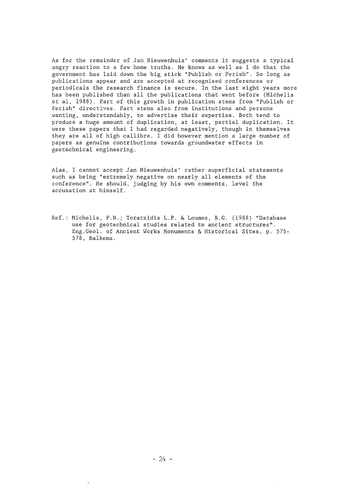As for the remainder of Jan Nieuwenhuis' comments it suggests a typical angry reaction toa few home truths. He knows as well as Ido that the government has laid down the big stick "Publish or Perish" . So long as publications appear and are accepted at recognised conferences or periodicals the research finance is secure. In the last eight years more has been published than all the publications that went before (Michelis et al, 1988). Part of this growth in publication stems from "Publish or Perish" directives. Part stems also from institutions and persons wanting, understandably, to advertise their expertise. Both tend to produce a huge amount of duplication, at least, partial duplication. It were these papers that I had regarded negatively, though in themselves they are all of high callibre. I did however mention a large number of papers as genuine contributions towards groundwater effects in geotechnical engineering.

Alas, I cannot accept Jan Nieuwenhuis' rather superficial statements such as being "extremely negative on nearly all elements of the conference". He should, judging by his own comments, level the accusation at himself.

Ref.: Michelis, P.N.; Toratzidis L.P. & Loumos, B.G. (1988) "Database use for geotechnical studies related to ancient structures" . Eng. Geol. of Ancient Works Monuments & Historical Sites, p. 575-578, Balkema .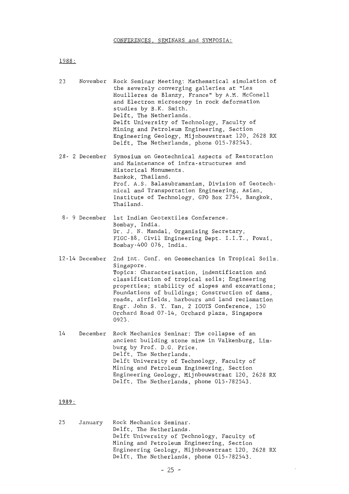1988:

23 November Rock Seminar Meeting: Mathematical simulation of the severely converging galleries at "Les Houilleres de Blanzy, France" by A.M. McConell and Electron microscopy in rock deformation studies by B.K. Smith. Delft, The Netherlands. Delft University of Technology, Faculty of Mining and Petroleum Engineering, Section Engineering Geology, Mijnbouwstraat 120, 2628 RX Delft, The Netherlands, phone 015-782543. 28- 2 December Symosium on Geotechnical Aspects of Restoration and Maintenance of infra-structures and Historical Monuments. Bankok, Thailand. Prof. A.S. Balasubramaniam, Division of Geotechnical and Transportation Engineering, Asian, Institute of Technology, GPO Box 2754, Bangkok, Thailand. 8- 9 December 1st Indian Geotextiles Conference. Bombay, India . Dr. J. N. Mandal, Organising Secretary, FIGC-88, Civil Engineering Dept. I.I.T., Powai, Bombay-400 076, India. 12-14 December 2nd Int. Conf . on Geomechanics in Tropical Soils. Singapore. **Topics:** Characterisation, indentification and classification of tropical soils; Engineering properties; stability of slopes and excavations; Foundations of buildings; Construction of dams, roads, airfields, harbours and land reclamation Engr. John S. Y. Tan, 2 ICOTS Conference, 150 Orchard Road 07-14, Orchard plaza, Singapore 0923. 14 December Rock Mechanics Seminar: The collapse of an ancient building stone mine in Valkenburg, Limburg by Prof. D.G. Price . Delft, The Netherlands. Delft University of Technology, Faculty of Mining and Petroleum Engineering, Section Engineering Geology, Mijnbouwstraat 120, 2628 RX Delft, The Netherlands, phone 015-782543.

#### 1989:

25 January Rock Mechanics Seminar. Delft, The Netherlands . Delft University of Technology, Faculty of Mining and Petroleum Engineering, Section Engineering Geology, Mijnbouwstraat 120, 2628 RX Delft, The Netherlands, phone 015-782543.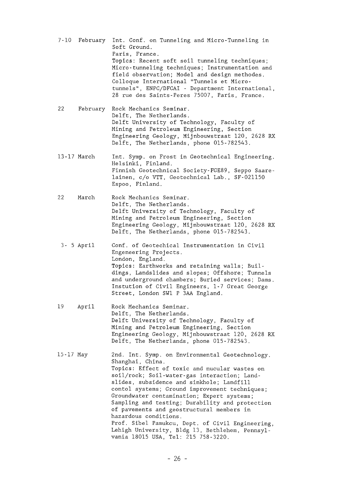|           | 7-10 February | Int. Conf. on Tunneling and Micro-Tunneling in<br>Soft Ground.<br>Paris. France.<br>Topics: Recent soft soil tunneling techniques;<br>Micro-tunneling techniques; Instrumentation and<br>field observation; Model and design methodes.<br>Colloque International "Tunnels et Micro-<br>tunnels", ENPC/DFCAI - Department International,<br>28 rue des Saints-Peres 75007, Paris, France.                                                                                                                                                                                                 |
|-----------|---------------|------------------------------------------------------------------------------------------------------------------------------------------------------------------------------------------------------------------------------------------------------------------------------------------------------------------------------------------------------------------------------------------------------------------------------------------------------------------------------------------------------------------------------------------------------------------------------------------|
| 22        | February      | Rock Mechanics Seminar.<br>Delft, The Netherlands.<br>Delft University of Technology, Faculty of<br>Mining and Petroleum Engineering, Section<br>Engineering Geology, Mijnbouwstraat 120, 2628 RX<br>Delft, The Netherlands, phone 015-782543.                                                                                                                                                                                                                                                                                                                                           |
|           | 13-17 March   | Int. Symp. on Frost in Geotechnical Engineering.<br>Helsinki, Finland.<br>Finnish Geotechnical Society-FGE89, Seppo Saare-<br>lainen, c/o VTT, Geotechnical Lab., SF-021150<br>Espoo, Finland.                                                                                                                                                                                                                                                                                                                                                                                           |
| 22        | March         | Rock Mechanics Seminar.<br>Delft, The Netherlands.<br>Delft University of Technology, Faculty of<br>Mining and Petroleum Engineering, Section<br>Engineering Geology, Mijnbouwstraat 120, 2628 RX<br>Delft, The Netherlands, phone 015-782543.                                                                                                                                                                                                                                                                                                                                           |
|           | $3 - 5$ April | Conf. of Geotechical Instrumentation in Civil<br>Engeneering Projects.<br>London, England.<br>Topics: Earthworks and retaining walls; Buil-<br>dings, Landslides and slopes; Offshore; Tunnels<br>and underground chambers; Buried services; Dams.<br>Instution of Civil Engineers, 1-7 Great George<br>Street, London SW1 P 3AA England.                                                                                                                                                                                                                                                |
| 19        | April         | Rock Mechanics Seminar.<br>Delft, The Netherlands.<br>Delft University of Technology, Faculty of<br>Mining and Petroleum Engineering, Section<br>Engineering Geology, Mijnbouwstraat 120, 2628 RX<br>Delft, The Netherlands, phone 015-782543.                                                                                                                                                                                                                                                                                                                                           |
| 15-17 May |               | 2nd. Int. Symp. on Environmental Geotechnology.<br>Shanghai, China.<br>Topics: Effect of toxic and nucular wastes on<br>soil/rock; Soil-water-gas interaction; Land-<br>slides, subsidence and sinkhole; Landfill<br>contol systems; Ground improvement techniques;<br>Groundwater contamination; Expert systems;<br>Sampling and testing; Durability and protection<br>of pavements and geostructural members in<br>hazardous conditions.<br>Prof. Sibel Pamukcu, Dept. of Civil Engineering,<br>Lehigh University, Bldg 13, Bethlehem, Pennsyl-<br>vania 18015 USA, Tel: 215 758-3220. |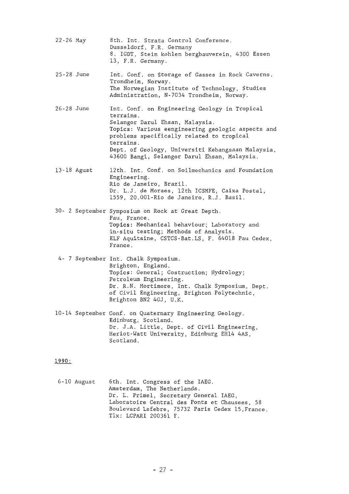| 22-26 May  |             | 8th. Int. Strata Control Conference.<br>Dusseldorf, F.R. Germany<br>8. IGDT, Stein kohlen bergbauverein, 4300 Essen<br>13, F.R. Germany.                                                                                                                                                                          |
|------------|-------------|-------------------------------------------------------------------------------------------------------------------------------------------------------------------------------------------------------------------------------------------------------------------------------------------------------------------|
| 25-28 June |             | Int. Conf. on Storage of Gasses in Rock Caverns.<br>Trondheim, Norway.<br>The Norwegian Institute of Technology, Studies<br>Administration, N-7034 Trondheim, Norway.                                                                                                                                             |
| 26-28 June |             | Int. Conf. on Engineering Geology in Tropical<br>terrains.<br>Selangor Darul Ehsan, Malaysia.<br>Topics: Various eengineering geologic aspects and<br>problems specifically related to tropical<br>terrains.<br>Dept. of Geology, Universiti Kebangsaan Malaysia,<br>43600 Bangi, Selangor Darul Ehsan, Malaysia. |
|            | 13-18 Agust | 12th. Int. Conf. on Soilmechanics and Foundation<br>Engineering.<br>Rio de Janeiro, Brazil.<br>Dr. L.J. de Moraes, 12th ICSMFE, Caixa Postal,<br>1559, 20.001-Rio de Janeiro, R.J. Basil.                                                                                                                         |
|            |             | 30- 2 September Symposium on Rock at Great Depth.<br>Pau, France.<br>Topics: Mechanical behaviour; Laboratory and<br>in-situ testing; Methods of Analysis.<br>ELF Aquitaine, CSTCS-Bat.LS, F. 64018 Pau Cedex,<br>France.                                                                                         |
|            |             | 4- 7 September Int. Chalk Symposium.<br>Brighton, England.<br>Topics: General; Costruction; Hydrology;<br>Petroleum Engineering.<br>Dr. R.N. Mortimore, Int. Chalk Symposium, Dept.<br>of Civil Engineering, Brighton Polytechnic,<br>Brighton BN2 4GJ, U.K.                                                      |
|            |             | 10-14 September Conf. on Quaternary Engineering Geology.<br>Edinburg, Scotland.<br>Dr. J.A. Little, Dept. of Civil Engineering,<br>Heriot-Watt University, Edinburg EH14 4AS,<br>Scotland.                                                                                                                        |
| 1990:      |             |                                                                                                                                                                                                                                                                                                                   |

6-10 August 6th. Int. Congress of the IAEG. Amsterdam, The Netherlands. Dr. L. Primel, Secretary General IAEG, Laboratoire Central des Fonts et Chausees, 58 Boulevard Lefebre, 75732 Paris Cedex 15,France. Tlx: LCPARI 200361 F.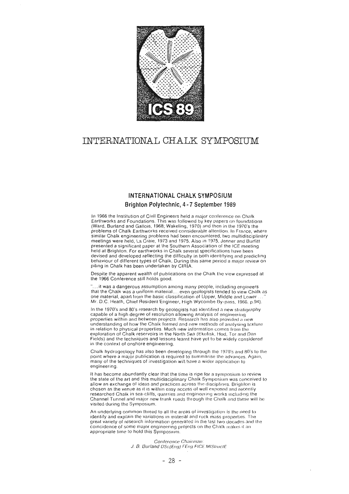

### INTERNATIONAL CHALK SYMPOSIUM

### INTERNATIONAL CHALK SYMPOSIUM

### Brighton Polytechnic, 4 - 7 September 1989

In 1966 the Institution of Civil Engineers held a major conference on Chalk Earthworks and Foundations. This was followed by key papers on foundations (Ward, Burland and Gallois, 1968; Wakeling, 1970) and then in the 1970's the problems of Chalk Earthworks received considerable attention. In France, where similar Chalk engineering problems had been encountered, two multidisciplinary meetings were held, La Craie, 1973 and 1975. Also in 1975, Jenner and Burfitt presented a significant paper at the Southern Association of the ICE meeting held at Brighton. For earthworks in Chalk several specifications have been devised and developed reflecting the difficulty in both identifying and predicting behaviour of different types of Chalk. During this same period a major review on piling in Chalk has been undertaken by CIRIA.

Despite the apparent wealth of publications on the Chalk the view expressed at the 1966 Conference still holds good.

 $". . .$ it was a dangerous assumption among many people, including engineers that the Chalk was a uniform material, . . even geologists tended to view Chalk as one material, apart from the basic classification of Upper, Middle and Lower. Mr. D.C. Heath, Chief Resident Engineer, High Wycombe By-pass, 1966. p.94).

In the 1970's and 80's research by geologists has identified a new stratigraphy capable of a high degree of resolution allowing analysis of engineering properties within and between projects. Research has also provided a new understanding of how the Chalk formed and new methods of analysing lexture in relation to physical properties. Much new information comes from the exploration of Chalk reservoirs in the North Sea (Ekofisk, Hod, Tor and Dan-Fields) and the techniques and lessons learnt have yet to be widely considered in the context of onshore engineering.

Chalk hydrogeology has also been developing through the 1970's and 80's to the point where a major publication is required to summarise the advances. Again, many of the techniques of investigation will have a wider application to engineering.

It has become abundantly clear that the time is ripe for a symposium to review the state of the art and this multidisciplinary Chaik Symposium was conceived to allow an exchange of ideas and practices across the disciplines. Brighton is chosen as the venue as it is within easy access of well exposed and recently researched Chalk in sea-cliffs, quarries and engineering works including the Channel Tunnel and major new trunk roads through the Chalk and these will be visited during the Symposium.

An underlying common thread to all the areas of investigation is the need to dentify and explain the variations in material and rock mass properties. The great variety of research information generated in the last two decades and the .<br>coincidence of some major engineering projects on the Chalk makes it an appropriate time to hold this Symposium.

> Conference Chairman: J. B. Burland DSc(Eng) FEng FICE MIStructE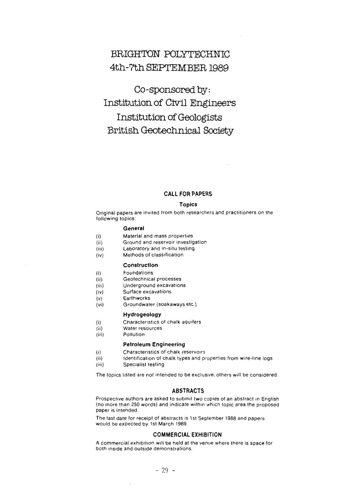### **BRIGHTON POLYTECHNIC 4th-7th SEPTEMBER 1989**

**Co-sponsored by: Institution of Civil Engineers Institution of Geologists British Geotechnical Society** 

### **CALL FOR PAPERS**

#### **Topics**

Original papers are invited trom both researchers and practitioners on the following topics:

### **Genera!**

- (i) Material and mass properties
- (ii) Ground and reservoir investigation
- (iii) Laboratory and in-situ testing
- (iv) Methods of classification

#### **Constructlon**

- (i) Foundations
- (ii) Geotechnical processes
- (iii) Underground excavations
- (iv) Surface excavations
- (v) Earthworks
- (vi) Groundwater (soakaways etc.)

#### **Hydrogeology**

- (i) Characteristics of chalk aquifers
- (ii) Water resources
- (iii) Pollution

### **Petroleum Engineering**

- (i) Characteristics of chalk reservoirs
- (ii) ldentification of chalk types and properties from wire-line logs
- (iii) Specialist testing

The topics listed are not intended to be exclusive, others will be considered.

#### **ABSTRACTS**

Prospective authors are asked to submit two copies of an abstract in English (no more than 250 words) and indicate within which topic area the proposed paper is intended.

The last date for receipt of abstracts is 1st September 1988 and papers would be expected by 1st March 1989.

#### **COMMERCIAL EXHIBITION**

A commercial exhibition will be held at the venue where there is space tor both inside and outside demonstrations.